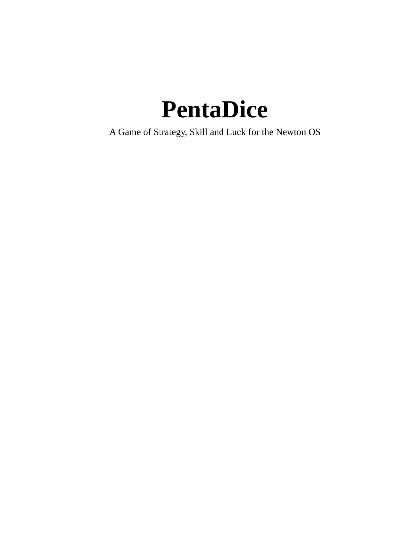### **PentaDice**

A Game of Strategy, Skill and Luck for the Newton OS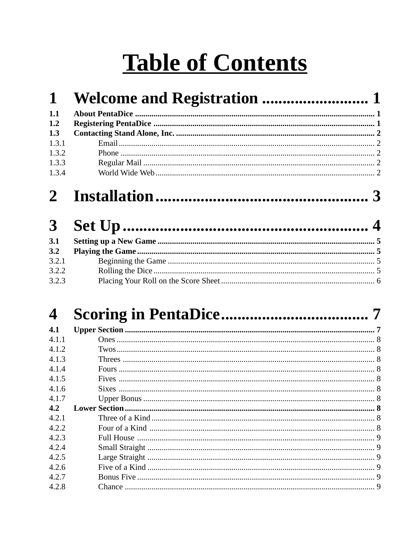### **Table of Contents**

| $\mathbf 1$  |  |
|--------------|--|
| 1.1          |  |
| 1.2          |  |
| 1.3          |  |
| 1.3.1        |  |
| 1.3.2        |  |
| 1.3.3        |  |
| 1.3.4        |  |
| $\mathbf{2}$ |  |
| $\mathbf{3}$ |  |
| 3.1          |  |
| 3.2          |  |
| 3.2.1        |  |
| 3.2.2        |  |
| 3.2.3        |  |

#### $\overline{\mathbf{4}}$

| 4.1   |  |
|-------|--|
| 4.1.1 |  |
| 4.1.2 |  |
| 4.1.3 |  |
| 4.1.4 |  |
| 4.1.5 |  |
| 4.1.6 |  |
| 4.1.7 |  |
| 4.2   |  |
| 4.2.1 |  |
| 4.2.2 |  |
| 4.2.3 |  |
| 4.2.4 |  |
| 4.2.5 |  |
| 4.2.6 |  |
| 4.2.7 |  |
| 4.2.8 |  |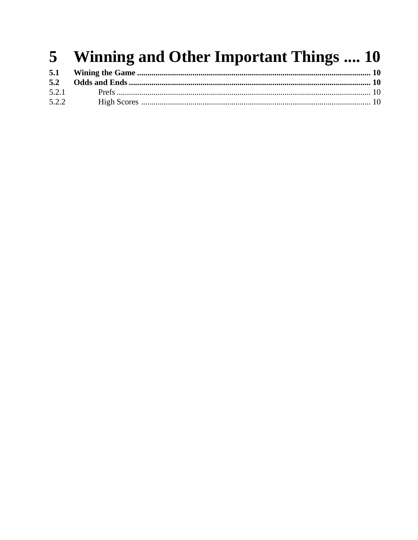#### Winning and Other Important Things .... 10  $5<sub>5</sub>$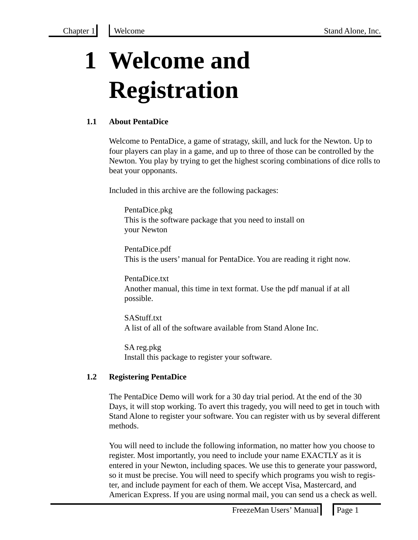### **1 Welcome and Registration**

#### **1.1 About PentaDice**

Welcome to PentaDice, a game of stratagy, skill, and luck for the Newton. Up to four players can play in a game, and up to three of those can be controlled by the Newton. You play by trying to get the highest scoring combinations of dice rolls to beat your opponants.

Included in this archive are the following packages:

PentaDice.pkg This is the software package that you need to install on your Newton

PentaDice.pdf This is the users' manual for PentaDice. You are reading it right now.

PentaDice.txt Another manual, this time in text format. Use the pdf manual if at all possible.

SAStuff.txt A list of all of the software available from Stand Alone Inc.

SA reg.pkg Install this package to register your software.

#### **1.2 Registering PentaDice**

The PentaDice Demo will work for a 30 day trial period. At the end of the 30 Days, it will stop working. To avert this tragedy, you will need to get in touch with Stand Alone to register your software. You can register with us by several different methods.

You will need to include the following information, no matter how you choose to register. Most importantly, you need to include your name EXACTLY as it is entered in your Newton, including spaces. We use this to generate your password, so it must be precise. You will need to specify which programs you wish to register, and include payment for each of them. We accept Visa, Mastercard, and American Express. If you are using normal mail, you can send us a check as well.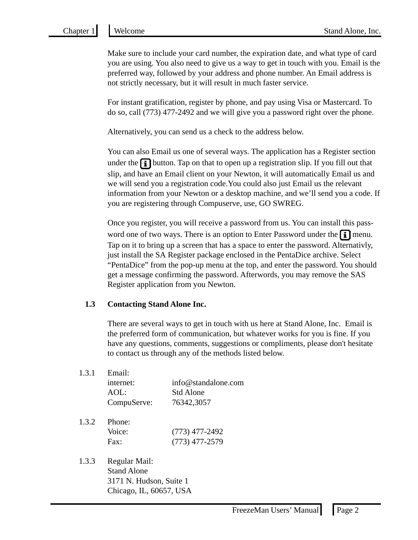Make sure to include your card number, the expiration date, and what type of card you are using. You also need to give us a way to get in touch with you. Email is the preferred way, followed by your address and phone number. An Email address is not strictly necessary, but it will result in much faster service.

For instant gratification, register by phone, and pay using Visa or Mastercard. To do so, call (773) 477-2492 and we will give you a password right over the phone.

Alternatively, you can send us a check to the address below.

You can also Email us one of several ways. The application has a Register section under the  $[i]$  button. Tap on that to open up a registration slip. If you fill out that slip, and have an Email client on your Newton, it will automatically Email us and we will send you a registration code.You could also just Email us the relevant information from your Newton or a desktop machine, and we'll send you a code. If you are registering through Compuserve, use, GO SWREG.

Once you register, you will receive a password from us. You can install this password one of two ways. There is an option to Enter Password under the  $\boxed{\bullet}$  menu. Tap on it to bring up a screen that has a space to enter the password. Alternativly, just install the SA Register package enclosed in the PentaDice archive. Select "PentaDice" from the pop-up menu at the top, and enter the password. You should get a message confirming the password. Afterwords, you may remove the SAS Register application from you Newton.

#### **1.3 Contacting Stand Alone Inc.**

There are several ways to get in touch with us here at Stand Alone, Inc. Email is the preferred form of communication, but whatever works for you is fine. If you have any questions, comments, suggestions or compliments, please don't hesitate to contact us through any of the methods listed below.

| 1.3.1 | Email:                |                     |
|-------|-----------------------|---------------------|
|       | internet:             | info@standalone.com |
|       | AOL:                  | <b>Std Alone</b>    |
|       | CompuServe:           | 76342,3057          |
|       | 1.3.2 Phone:<br>$  -$ |                     |

| $\mathcal{L} \cdot \mathcal{L}$ | - ГІЮПС. |                  |
|---------------------------------|----------|------------------|
|                                 | Voice:   | $(773)$ 477-2492 |
|                                 | Fax:     | $(773)$ 477-2579 |
|                                 |          |                  |

1.3.3 Regular Mail: Stand Alone 3171 N. Hudson, Suite 1 Chicago, IL, 60657, USA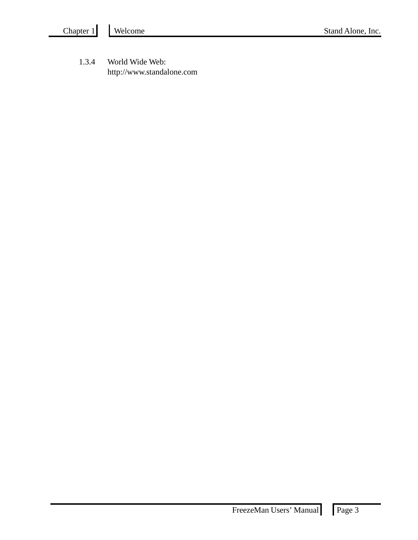1.3.4 World Wide Web: http://www.standalone.com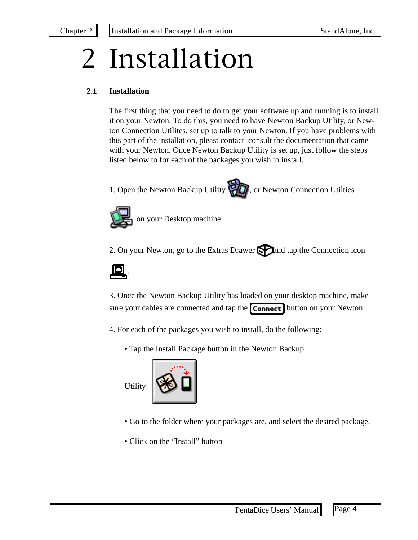# 2 Installation

#### **2.1 Installation**

The first thing that you need to do to get your software up and running is to install it on your Newton. To do this, you need to have Newton Backup Utility, or Newton Connection Utilites, set up to talk to your Newton. If you have problems with this part of the installation, pleast contact consult the documentation that came with your Newton. Once Newton Backup Utility is set up, just follow the steps listed below to for each of the packages you wish to install.





on your Desktop machine.

2. On your Newton, go to the Extras Drawer  $\Box$  and tap the Connection icon



3. Once the Newton Backup Utility has loaded on your desktop machine, make sure your cables are connected and tap the **Connect** button on your Newton.

4. For each of the packages you wish to install, do the following:

• Tap the Install Package button in the Newton Backup

Utility



- Go to the folder where your packages are, and select the desired package.
- Click on the "Install" button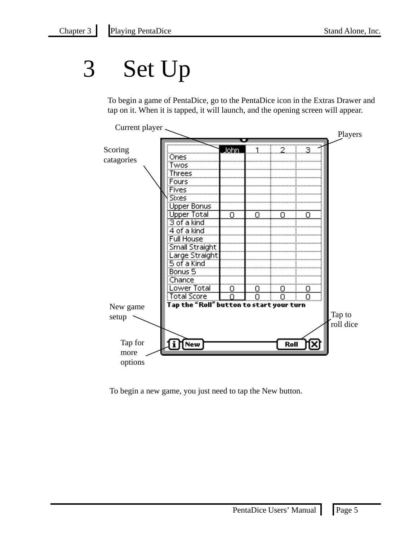### 3 Set Up

To begin a game of PentaDice, go to the PentaDice icon in the Extras Drawer and tap on it. When it is tapped, it will launch, and the opening screen will appear.



To begin a new game, you just need to tap the New button.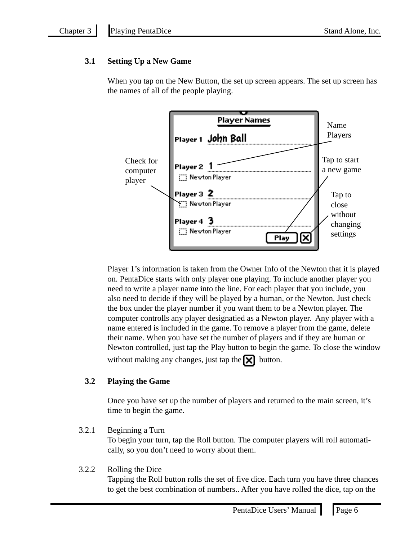#### **3.1 Setting Up a New Game**

When you tap on the New Button, the set up screen appears. The set up screen has the names of all of the people playing.



Player 1's information is taken from the Owner Info of the Newton that it is played on. PentaDice starts with only player one playing. To include another player you need to write a player name into the line. For each player that you include, you also need to decide if they will be played by a human, or the Newton. Just check the box under the player number if you want them to be a Newton player. The computer controlls any player designatied as a Newton player. Any player with a name entered is included in the game. To remove a player from the game, delete their name. When you have set the number of players and if they are human or Newton controlled, just tap the Play button to begin the game. To close the window without making any changes, just tap the  $\mathbf{\times}$  button.

**3.2 Playing the Game**

Once you have set up the number of players and returned to the main screen, it's time to begin the game.

3.2.1 Beginning a Turn

To begin your turn, tap the Roll button. The computer players will roll automatically, so you don't need to worry about them.

#### 3.2.2 Rolling the Dice

Tapping the Roll button rolls the set of five dice. Each turn you have three chances to get the best combination of numbers.. After you have rolled the dice, tap on the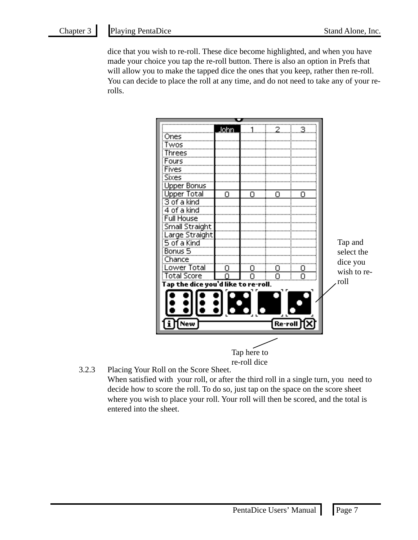dice that you wish to re-roll. These dice become highlighted, and when you have made your choice you tap the re-roll button. There is also an option in Prefs that will allow you to make the tapped dice the ones that you keep, rather then re-roll. You can decide to place the roll at any time, and do not need to take any of your rerolls.



3.2.3 Placing Your Roll on the Score Sheet.

When satisfied with your roll, or after the third roll in a single turn, you need to decide how to score the roll. To do so, just tap on the space on the score sheet where you wish to place your roll. Your roll will then be scored, and the total is entered into the sheet.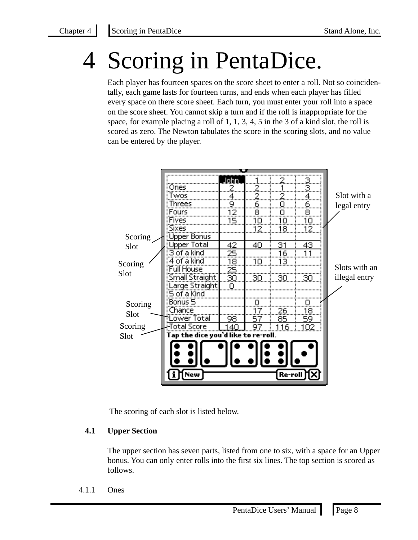### Scoring in PentaDice.

Each player has fourteen spaces on the score sheet to enter a roll. Not so coincidentally, each game lasts for fourteen turns, and ends when each player has filled every space on there score sheet. Each turn, you must enter your roll into a space on the score sheet. You cannot skip a turn and if the roll is inappropriate for the space, for example placing a roll of 1, 1, 3, 4, 5 in the 3 of a kind slot, the roll is scored as zero. The Newton tabulates the score in the scoring slots, and no value can be entered by the player.



The scoring of each slot is listed below.

#### **4.1 Upper Section**

The upper section has seven parts, listed from one to six, with a space for an Upper bonus. You can only enter rolls into the first six lines. The top section is scored as follows.

4.1.1 Ones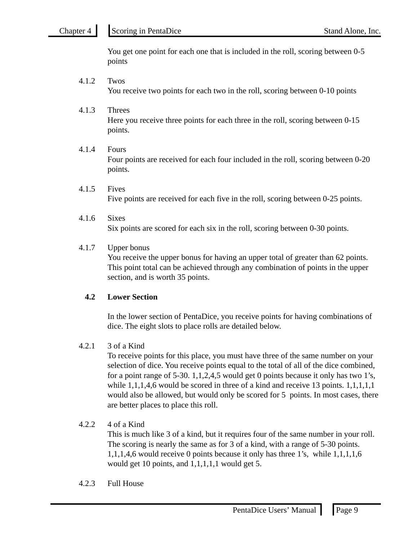You get one point for each one that is included in the roll, scoring between 0-5 points

- 4.1.2 Twos You receive two points for each two in the roll, scoring between 0-10 points
- 4.1.3 Threes Here you receive three points for each three in the roll, scoring between 0-15 points.
- 4.1.4 Fours Four points are received for each four included in the roll, scoring between 0-20 points.
- 4.1.5 Fives Five points are received for each five in the roll, scoring between 0-25 points.
- 4.1.6 Sixes Six points are scored for each six in the roll, scoring between 0-30 points.

#### 4.1.7 Upper bonus

You receive the upper bonus for having an upper total of greater than 62 points. This point total can be achieved through any combination of points in the upper section, and is worth 35 points.

#### **4.2 Lower Section**

In the lower section of PentaDice, you receive points for having combinations of dice. The eight slots to place rolls are detailed below.

#### 4.2.1 3 of a Kind

To receive points for this place, you must have three of the same number on your selection of dice. You receive points equal to the total of all of the dice combined, for a point range of 5-30. 1,1,2,4,5 would get 0 points because it only has two 1's, while  $1,1,1,4,6$  would be scored in three of a kind and receive 13 points.  $1,1,1,1,1$ would also be allowed, but would only be scored for 5 points. In most cases, there are better places to place this roll.

#### $4.2.2$  4 of a Kind

This is much like 3 of a kind, but it requires four of the same number in your roll. The scoring is nearly the same as for 3 of a kind, with a range of 5-30 points. 1,1,1,4,6 would receive 0 points because it only has three 1's, while 1,1,1,1,6 would get 10 points, and  $1,1,1,1,1$  would get 5.

#### 4.2.3 Full House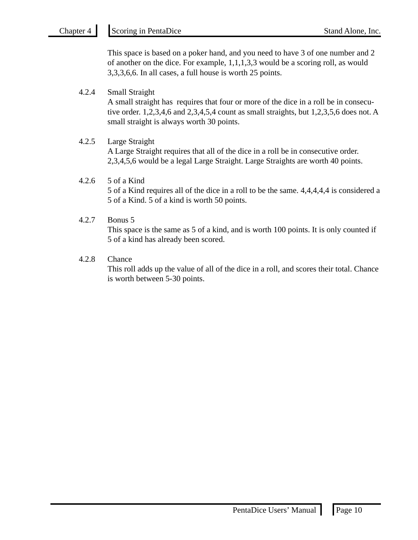This space is based on a poker hand, and you need to have 3 of one number and 2 of another on the dice. For example, 1,1,1,3,3 would be a scoring roll, as would 3,3,3,6,6. In all cases, a full house is worth 25 points.

#### 4.2.4 Small Straight

A small straight has requires that four or more of the dice in a roll be in consecutive order. 1,2,3,4,6 and 2,3,4,5,4 count as small straights, but 1,2,3,5,6 does not. A small straight is always worth 30 points.

#### 4.2.5 Large Straight

A Large Straight requires that all of the dice in a roll be in consecutive order. 2,3,4,5,6 would be a legal Large Straight. Large Straights are worth 40 points.

#### 4.2.6 5 of a Kind

5 of a Kind requires all of the dice in a roll to be the same. 4,4,4,4,4 is considered a 5 of a Kind. 5 of a kind is worth 50 points.

#### 4.2.7 Bonus 5

This space is the same as 5 of a kind, and is worth 100 points. It is only counted if 5 of a kind has already been scored.

#### 4.2.8 Chance

This roll adds up the value of all of the dice in a roll, and scores their total. Chance is worth between 5-30 points.